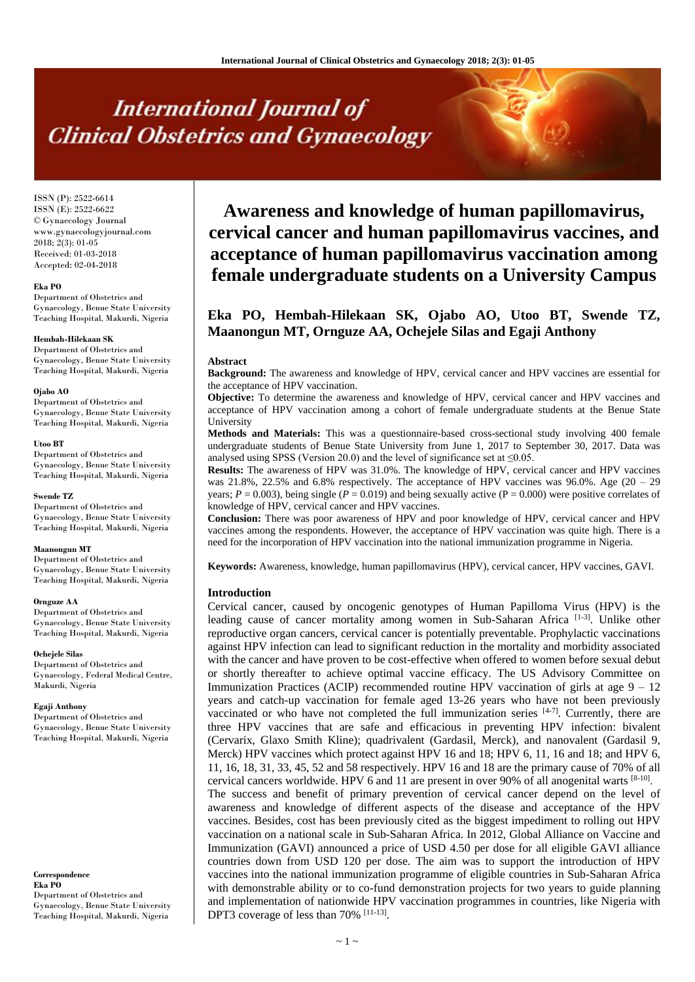# **International Journal of Clinical Obstetrics and Gynaecology**

ISSN (P): 2522-6614 ISSN (E): 2522-6622 © Gynaecology Journal www.gynaecologyjournal.com  $2018$ ;  $2(3)$ ; 01-05 Received: 01-03-2018 Accepted: 02-04-2018

#### **Eka PO**

Department of Obstetrics and Gynaecology, Benue State University Teaching Hospital, Makurdi, Nigeria

#### **Hembah-Hilekaan SK**

Department of Obstetrics and Gynaecology, Benue State University Teaching Hospital, Makurdi, Nigeria

#### **Ojabo AO**

Department of Obstetrics and Gynaecology, Benue State University Teaching Hospital, Makurdi, Nigeria

#### **Utoo BT**

Department of Obstetrics and Gynaecology, Benue State University Teaching Hospital, Makurdi, Nigeria

#### **Swende TZ**

Department of Obstetrics and Gynaecology, Benue State University Teaching Hospital, Makurdi, Nigeria

#### **Maanongun MT**

Department of Obstetrics and Gynaecology, Benue State University Teaching Hospital, Makurdi, Nigeria

#### **Ornguze AA**

Department of Obstetrics and Gynaecology, Benue State University Teaching Hospital, Makurdi, Nigeria

#### **Ochejele Silas**

Department of Obstetrics and Gynaecology, Federal Medical Centre, Makurdi, Nigeria

#### **Egaji Anthony**

Department of Obstetrics and Gynaecology, Benue State University Teaching Hospital, Makurdi, Nigeria

**Correspondence Eka PO** Department of Obstetrics and Gynaecology, Benue State University Teaching Hospital, Makurdi, Nigeria

## **Awareness and knowledge of human papillomavirus, cervical cancer and human papillomavirus vaccines, and acceptance of human papillomavirus vaccination among female undergraduate students on a University Campus**

### **Eka PO, Hembah-Hilekaan SK, Ojabo AO, Utoo BT, Swende TZ, Maanongun MT, Ornguze AA, Ochejele Silas and Egaji Anthony**

#### **Abstract**

**Background:** The awareness and knowledge of HPV, cervical cancer and HPV vaccines are essential for the acceptance of HPV vaccination.

**Objective:** To determine the awareness and knowledge of HPV, cervical cancer and HPV vaccines and acceptance of HPV vaccination among a cohort of female undergraduate students at the Benue State University

**Methods and Materials:** This was a questionnaire-based cross-sectional study involving 400 female undergraduate students of Benue State University from June 1, 2017 to September 30, 2017. Data was analysed using SPSS (Version 20.0) and the level of significance set at  $\leq 0.05$ .

**Results:** The awareness of HPV was 31.0%. The knowledge of HPV, cervical cancer and HPV vaccines was  $21.8\%$ ,  $22.5\%$  and  $6.8\%$  respectively. The acceptance of HPV vaccines was 96.0%. Age (20 – 29) years;  $P = 0.003$ ), being single ( $P = 0.019$ ) and being sexually active ( $P = 0.000$ ) were positive correlates of knowledge of HPV, cervical cancer and HPV vaccines.

**Conclusion:** There was poor awareness of HPV and poor knowledge of HPV, cervical cancer and HPV vaccines among the respondents. However, the acceptance of HPV vaccination was quite high. There is a need for the incorporation of HPV vaccination into the national immunization programme in Nigeria.

**Keywords:** Awareness, knowledge, human papillomavirus (HPV), cervical cancer, HPV vaccines, GAVI.

### **Introduction**

Cervical cancer, caused by oncogenic genotypes of Human Papilloma Virus (HPV) is the leading cause of cancer mortality among women in Sub-Saharan Africa<sup>[1-3]</sup>. Unlike other reproductive organ cancers, cervical cancer is potentially preventable. Prophylactic vaccinations against HPV infection can lead to significant reduction in the mortality and morbidity associated with the cancer and have proven to be cost-effective when offered to women before sexual debut or shortly thereafter to achieve optimal vaccine efficacy. The US Advisory Committee on Immunization Practices (ACIP) recommended routine HPV vaccination of girls at age  $9 - 12$ years and catch-up vaccination for female aged 13-26 years who have not been previously vaccinated or who have not completed the full immunization series  $[4-7]$ . Currently, there are three HPV vaccines that are safe and efficacious in preventing HPV infection: bivalent (Cervarix, Glaxo Smith Kline); quadrivalent (Gardasil, Merck), and nanovalent (Gardasil 9, Merck) HPV vaccines which protect against HPV 16 and 18; HPV 6, 11, 16 and 18; and HPV 6, 11, 16, 18, 31, 33, 45, 52 and 58 respectively. HPV 16 and 18 are the primary cause of 70% of all cervical cancers worldwide. HPV 6 and 11 are present in over 90% of all anogenital warts [8-10]. The success and benefit of primary prevention of cervical cancer depend on the level of awareness and knowledge of different aspects of the disease and acceptance of the HPV vaccines. Besides, cost has been previously cited as the biggest impediment to rolling out HPV vaccination on a national scale in Sub-Saharan Africa. In 2012, Global Alliance on Vaccine and Immunization (GAVI) announced a price of USD 4.50 per dose for all eligible GAVI alliance countries down from USD 120 per dose. The aim was to support the introduction of HPV vaccines into the national immunization programme of eligible countries in Sub-Saharan Africa with demonstrable ability or to co-fund demonstration projects for two years to guide planning and implementation of nationwide HPV vaccination programmes in countries, like Nigeria with DPT3 coverage of less than 70% [11-13].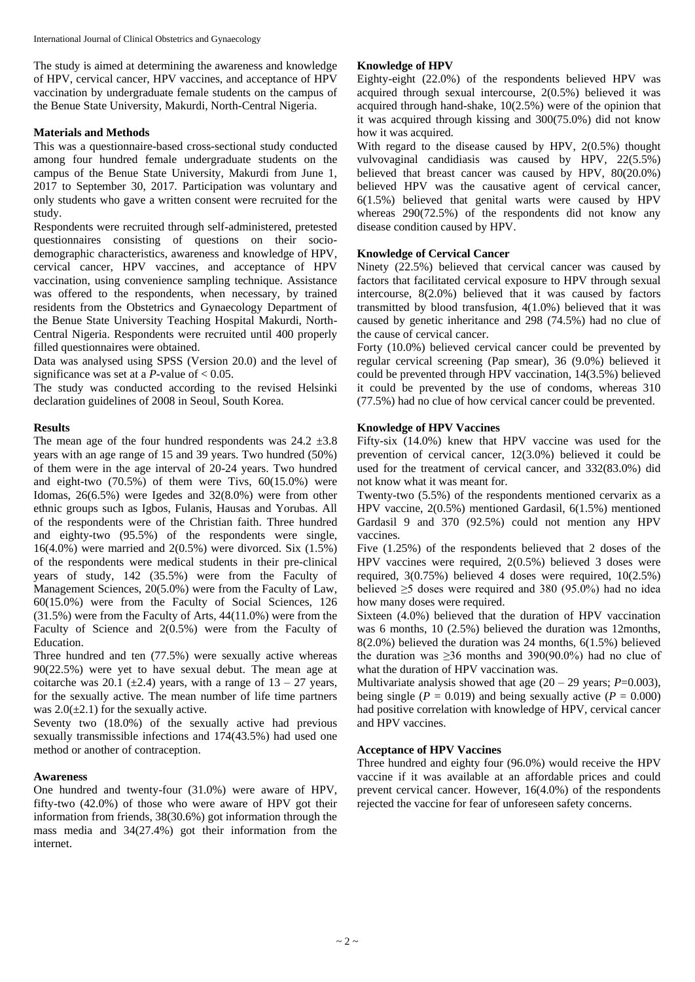The study is aimed at determining the awareness and knowledge of HPV, cervical cancer, HPV vaccines, and acceptance of HPV vaccination by undergraduate female students on the campus of the Benue State University, Makurdi, North-Central Nigeria.

### **Materials and Methods**

This was a questionnaire-based cross-sectional study conducted among four hundred female undergraduate students on the campus of the Benue State University, Makurdi from June 1, 2017 to September 30, 2017. Participation was voluntary and only students who gave a written consent were recruited for the study.

Respondents were recruited through self-administered, pretested questionnaires consisting of questions on their sociodemographic characteristics, awareness and knowledge of HPV, cervical cancer, HPV vaccines, and acceptance of HPV vaccination, using convenience sampling technique. Assistance was offered to the respondents, when necessary, by trained residents from the Obstetrics and Gynaecology Department of the Benue State University Teaching Hospital Makurdi, North-Central Nigeria. Respondents were recruited until 400 properly filled questionnaires were obtained.

Data was analysed using SPSS (Version 20.0) and the level of significance was set at a *P*-value of  $< 0.05$ .

The study was conducted according to the revised Helsinki declaration guidelines of 2008 in Seoul, South Korea.

### **Results**

The mean age of the four hundred respondents was  $24.2 \pm 3.8$ years with an age range of 15 and 39 years. Two hundred (50%) of them were in the age interval of 20-24 years. Two hundred and eight-two  $(70.5\%)$  of them were Tivs,  $60(15.0\%)$  were Idomas, 26(6.5%) were Igedes and 32(8.0%) were from other ethnic groups such as Igbos, Fulanis, Hausas and Yorubas. All of the respondents were of the Christian faith. Three hundred and eighty-two (95.5%) of the respondents were single, 16(4.0%) were married and 2(0.5%) were divorced. Six (1.5%) of the respondents were medical students in their pre-clinical years of study, 142 (35.5%) were from the Faculty of Management Sciences, 20(5.0%) were from the Faculty of Law, 60(15.0%) were from the Faculty of Social Sciences, 126 (31.5%) were from the Faculty of Arts, 44(11.0%) were from the Faculty of Science and 2(0.5%) were from the Faculty of Education.

Three hundred and ten (77.5%) were sexually active whereas 90(22.5%) were yet to have sexual debut. The mean age at coitarche was 20.1 ( $\pm$ 2.4) years, with a range of 13 – 27 years, for the sexually active. The mean number of life time partners was  $2.0(\pm 2.1)$  for the sexually active.

Seventy two (18.0%) of the sexually active had previous sexually transmissible infections and 174(43.5%) had used one method or another of contraception.

### **Awareness**

One hundred and twenty-four (31.0%) were aware of HPV, fifty-two (42.0%) of those who were aware of HPV got their information from friends, 38(30.6%) got information through the mass media and 34(27.4%) got their information from the internet.

### **Knowledge of HPV**

Eighty-eight (22.0%) of the respondents believed HPV was acquired through sexual intercourse, 2(0.5%) believed it was acquired through hand-shake, 10(2.5%) were of the opinion that it was acquired through kissing and 300(75.0%) did not know how it was acquired.

With regard to the disease caused by HPV, 2(0.5%) thought vulvovaginal candidiasis was caused by HPV, 22(5.5%) believed that breast cancer was caused by HPV, 80(20.0%) believed HPV was the causative agent of cervical cancer, 6(1.5%) believed that genital warts were caused by HPV whereas 290(72.5%) of the respondents did not know any disease condition caused by HPV.

### **Knowledge of Cervical Cancer**

Ninety (22.5%) believed that cervical cancer was caused by factors that facilitated cervical exposure to HPV through sexual intercourse, 8(2.0%) believed that it was caused by factors transmitted by blood transfusion, 4(1.0%) believed that it was caused by genetic inheritance and 298 (74.5%) had no clue of the cause of cervical cancer.

Forty (10.0%) believed cervical cancer could be prevented by regular cervical screening (Pap smear), 36 (9.0%) believed it could be prevented through HPV vaccination, 14(3.5%) believed it could be prevented by the use of condoms, whereas 310 (77.5%) had no clue of how cervical cancer could be prevented.

### **Knowledge of HPV Vaccines**

Fifty-six (14.0%) knew that HPV vaccine was used for the prevention of cervical cancer, 12(3.0%) believed it could be used for the treatment of cervical cancer, and 332(83.0%) did not know what it was meant for.

Twenty-two (5.5%) of the respondents mentioned cervarix as a HPV vaccine, 2(0.5%) mentioned Gardasil, 6(1.5%) mentioned Gardasil 9 and 370 (92.5%) could not mention any HPV vaccines.

Five (1.25%) of the respondents believed that 2 doses of the HPV vaccines were required, 2(0.5%) believed 3 doses were required, 3(0.75%) believed 4 doses were required, 10(2.5%) believed ≥5 doses were required and 380 (95.0%) had no idea how many doses were required.

Sixteen (4.0%) believed that the duration of HPV vaccination was 6 months, 10 (2.5%) believed the duration was 12months, 8(2.0%) believed the duration was 24 months, 6(1.5%) believed the duration was  $\geq 36$  months and 390(90.0%) had no clue of what the duration of HPV vaccination was.

Multivariate analysis showed that age  $(20 - 29 \text{ years}; P=0.003)$ , being single ( $P = 0.019$ ) and being sexually active ( $P = 0.000$ ) had positive correlation with knowledge of HPV, cervical cancer and HPV vaccines.

### **Acceptance of HPV Vaccines**

Three hundred and eighty four (96.0%) would receive the HPV vaccine if it was available at an affordable prices and could prevent cervical cancer. However, 16(4.0%) of the respondents rejected the vaccine for fear of unforeseen safety concerns.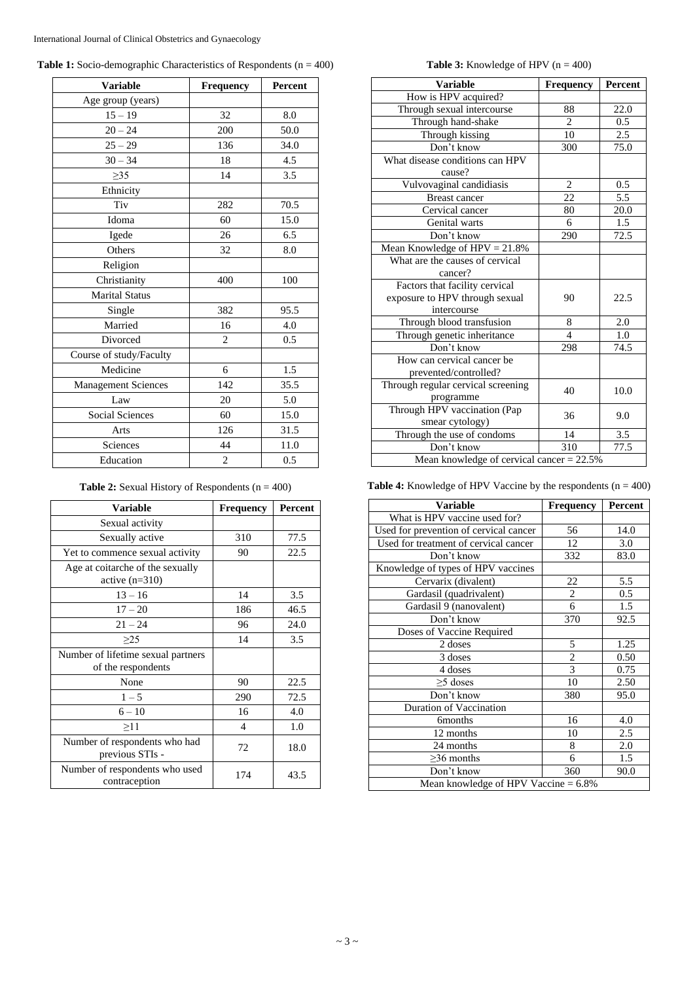|  |  | <b>Table 1:</b> Socio-demographic Characteristics of Respondents ( $n = 400$ ) |  |  |
|--|--|--------------------------------------------------------------------------------|--|--|
|  |  |                                                                                |  |  |

| <b>Variable</b>            | Frequency      | Percent |
|----------------------------|----------------|---------|
| Age group (years)          |                |         |
| $15 - 19$                  | 32             | 8.0     |
| $20 - 24$                  | 200            | 50.0    |
| $25 - 29$                  | 136            | 34.0    |
| $30 - 34$                  | 18             | 4.5     |
| $\geq$ 35                  | 14             | 3.5     |
| Ethnicity                  |                |         |
| Tiv                        | 282            | 70.5    |
| Idoma                      | 60             | 15.0    |
| Igede                      | 26             | 6.5     |
| Others                     | 32             | 8.0     |
| Religion                   |                |         |
| Christianity               | 400            | 100     |
| <b>Marital Status</b>      |                |         |
| Single                     | 382            | 95.5    |
| Married                    | 16             | 4.0     |
| Divorced                   | $\overline{2}$ | 0.5     |
| Course of study/Faculty    |                |         |
| Medicine                   | 6              | 1.5     |
| <b>Management Sciences</b> | 142            | 35.5    |
| Law                        | 20             | 5.0     |
| <b>Social Sciences</b>     | 60             | 15.0    |
| Arts                       | 126            | 31.5    |
| Sciences                   | 44             | 11.0    |
| Education                  | $\overline{c}$ | 0.5     |

**Table 2:** Sexual History of Respondents (n = 400)

| <b>Variable</b>                                          | <b>Frequency</b> | Percent |
|----------------------------------------------------------|------------------|---------|
| Sexual activity                                          |                  |         |
| Sexually active                                          | 310              | 77.5    |
| Yet to commence sexual activity                          | 90               | 22.5    |
| Age at coitarche of the sexually<br>active $(n=310)$     |                  |         |
| $13 - 16$                                                | 14               | 3.5     |
| $17 - 20$                                                | 186              | 46.5    |
| $21 - 24$                                                | 96               | 24.0    |
| >25                                                      | 14               | 3.5     |
| Number of lifetime sexual partners<br>of the respondents |                  |         |
| None                                                     | 90               | 22.5    |
| $1 - 5$                                                  | 290              | 72.5    |
| $6 - 10$                                                 | 16               | 4.0     |
| >11                                                      | 4                | 1.0     |
| Number of respondents who had<br>previous STIs -         | 72               | 18.0    |
| Number of respondents who used<br>contraception          | 174              | 43.5    |

**Table 3:** Knowledge of HPV  $(n = 400)$ 

| <b>Variable</b>                              | Frequency      | Percent          |  |  |
|----------------------------------------------|----------------|------------------|--|--|
| How is HPV acquired?                         |                |                  |  |  |
| Through sexual intercourse                   | 88             | 22.0             |  |  |
| Through hand-shake                           | $\overline{c}$ | 0.5              |  |  |
| Through kissing                              | 10             | 2.5              |  |  |
| Don't know                                   | 300            | 75.0             |  |  |
| What disease conditions can HPV              |                |                  |  |  |
| cause?                                       |                |                  |  |  |
| Vulvovaginal candidiasis                     | $\overline{2}$ | 0.5              |  |  |
| <b>Breast cancer</b>                         | 22             | $\overline{5.5}$ |  |  |
| Cervical cancer                              | 80             | 20.0             |  |  |
| Genital warts                                | 6              | 1.5              |  |  |
| Don't know                                   | 290            | 72.5             |  |  |
| Mean Knowledge of $HPV = 21.8%$              |                |                  |  |  |
| What are the causes of cervical              |                |                  |  |  |
| cancer?                                      |                |                  |  |  |
| Factors that facility cervical               |                |                  |  |  |
| exposure to HPV through sexual               | 90             | 22.5             |  |  |
| intercourse                                  |                |                  |  |  |
| Through blood transfusion                    | 8              | 2.0              |  |  |
| Through genetic inheritance                  | $\overline{A}$ | 1.0              |  |  |
| Don't know                                   | 298            | 74.5             |  |  |
| How can cervical cancer be                   |                |                  |  |  |
| prevented/controlled?                        |                |                  |  |  |
| Through regular cervical screening           | 40             | 10.0             |  |  |
| programme                                    |                |                  |  |  |
| Through HPV vaccination (Pap                 | 36             | 9.0              |  |  |
| smear cytology)                              |                |                  |  |  |
| Through the use of condoms                   | 14             | 3.5              |  |  |
| Don't know                                   | 310            | 77.5             |  |  |
| Mean knowledge of cervical cancer = $22.5\%$ |                |                  |  |  |

**Table 4:** Knowledge of HPV Vaccine by the respondents (n = 400)

| <b>Variable</b>                         | Frequency      | Percent |  |  |
|-----------------------------------------|----------------|---------|--|--|
| What is HPV vaccine used for?           |                |         |  |  |
| Used for prevention of cervical cancer  | 56             | 14.0    |  |  |
| Used for treatment of cervical cancer   | 12             | 3.0     |  |  |
| Don't know                              | 332            | 83.0    |  |  |
| Knowledge of types of HPV vaccines      |                |         |  |  |
| Cervarix (divalent)                     | 22             | 5.5     |  |  |
| Gardasil (quadrivalent)                 | $\overline{c}$ | 0.5     |  |  |
| Gardasil 9 (nanovalent)                 | 6              | 1.5     |  |  |
| Don't know                              | 370            | 92.5    |  |  |
| Doses of Vaccine Required               |                |         |  |  |
| 2 doses                                 | 5              | 1.25    |  |  |
| 3 doses                                 | $rac{2}{3}$    | 0.50    |  |  |
| 4 doses                                 |                | 0.75    |  |  |
| $\geq$ 5 doses                          | 10             | 2.50    |  |  |
| Don't know                              | 380            | 95.0    |  |  |
| <b>Duration of Vaccination</b>          |                |         |  |  |
| <b>6months</b>                          | 16             | 4.0     |  |  |
| 12 months                               | 10             | 2.5     |  |  |
| 24 months                               | 8              | 2.0     |  |  |
| $>36$ months                            | 6              | 1.5     |  |  |
| Don't know                              | 360            | 90.0    |  |  |
| Mean knowledge of HPV Vaccine $= 6.8\%$ |                |         |  |  |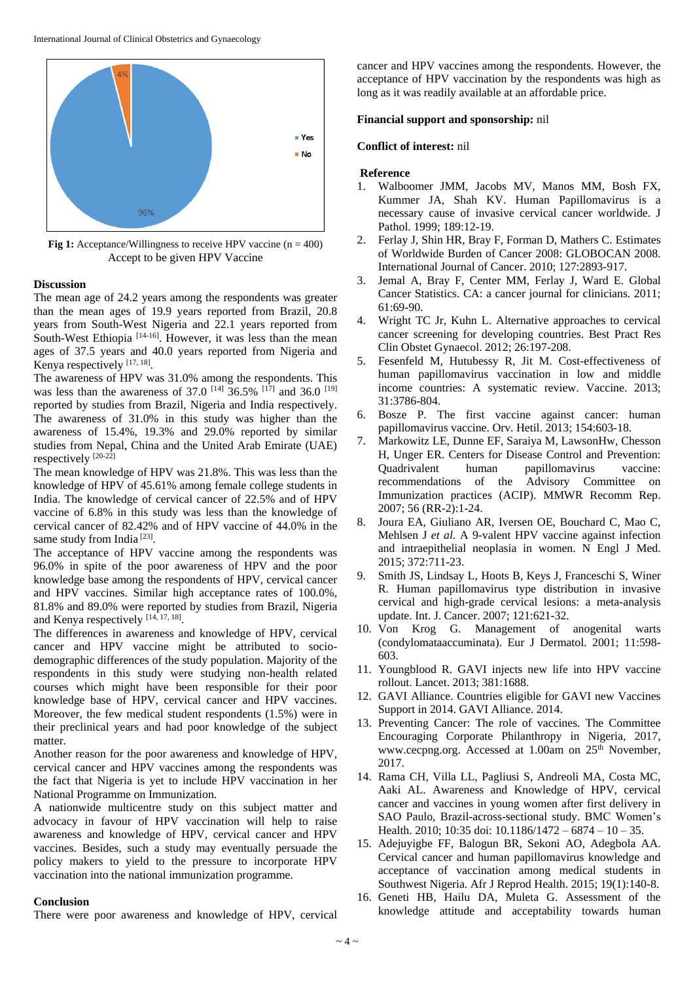

**Fig 1:** Acceptance/Willingness to receive HPV vaccine (n = 400) Accept to be given HPV Vaccine

### **Discussion**

The mean age of 24.2 years among the respondents was greater than the mean ages of 19.9 years reported from Brazil, 20.8 years from South-West Nigeria and 22.1 years reported from South-West Ethiopia  $[14-16]$ . However, it was less than the mean ages of 37.5 years and 40.0 years reported from Nigeria and Kenya respectively [17, 18].

The awareness of HPV was 31.0% among the respondents. This was less than the awareness of 37.0  $^{[14]}$  36.5%  $^{[17]}$  and 36.0  $^{[19]}$ reported by studies from Brazil, Nigeria and India respectively. The awareness of 31.0% in this study was higher than the awareness of 15.4%, 19.3% and 29.0% reported by similar studies from Nepal, China and the United Arab Emirate (UAE) respectively  $[20-22]$ 

The mean knowledge of HPV was 21.8%. This was less than the knowledge of HPV of 45.61% among female college students in India. The knowledge of cervical cancer of 22.5% and of HPV vaccine of 6.8% in this study was less than the knowledge of cervical cancer of 82.42% and of HPV vaccine of 44.0% in the same study from India<sup>[23]</sup>.

The acceptance of HPV vaccine among the respondents was 96.0% in spite of the poor awareness of HPV and the poor knowledge base among the respondents of HPV, cervical cancer and HPV vaccines. Similar high acceptance rates of 100.0%, 81.8% and 89.0% were reported by studies from Brazil, Nigeria and Kenya respectively [14, 17, 18].

The differences in awareness and knowledge of HPV, cervical cancer and HPV vaccine might be attributed to sociodemographic differences of the study population. Majority of the respondents in this study were studying non-health related courses which might have been responsible for their poor knowledge base of HPV, cervical cancer and HPV vaccines. Moreover, the few medical student respondents (1.5%) were in their preclinical years and had poor knowledge of the subject matter.

Another reason for the poor awareness and knowledge of HPV, cervical cancer and HPV vaccines among the respondents was the fact that Nigeria is yet to include HPV vaccination in her National Programme on Immunization.

A nationwide multicentre study on this subject matter and advocacy in favour of HPV vaccination will help to raise awareness and knowledge of HPV, cervical cancer and HPV vaccines. Besides, such a study may eventually persuade the policy makers to yield to the pressure to incorporate HPV vaccination into the national immunization programme.

#### **Conclusion**

There were poor awareness and knowledge of HPV, cervical

cancer and HPV vaccines among the respondents. However, the acceptance of HPV vaccination by the respondents was high as long as it was readily available at an affordable price.

### **Financial support and sponsorship:** nil

### **Conflict of interest:** nil

### **Reference**

- 1. Walboomer JMM, Jacobs MV, Manos MM, Bosh FX, Kummer JA, Shah KV. Human Papillomavirus is a necessary cause of invasive cervical cancer worldwide. J Pathol. 1999; 189:12-19.
- 2. Ferlay J, Shin HR, Bray F, Forman D, Mathers C. Estimates of Worldwide Burden of Cancer 2008: GLOBOCAN 2008. International Journal of Cancer. 2010; 127:2893-917.
- 3. Jemal A, Bray F, Center MM, Ferlay J, Ward E. Global Cancer Statistics. CA: a cancer journal for clinicians. 2011; 61:69-90.
- 4. Wright TC Jr, Kuhn L. Alternative approaches to cervical cancer screening for developing countries. Best Pract Res Clin Obstet Gynaecol. 2012; 26:197-208.
- 5. Fesenfeld M, Hutubessy R, Jit M. Cost-effectiveness of human papillomavirus vaccination in low and middle income countries: A systematic review. Vaccine. 2013; 31:3786-804.
- 6. Bosze P. The first vaccine against cancer: human papillomavirus vaccine. Orv. Hetil. 2013; 154:603-18.
- 7. Markowitz LE, Dunne EF, Saraiya M, LawsonHw, Chesson H, Unger ER. Centers for Disease Control and Prevention: Quadrivalent human papillomavirus vaccine: recommendations of the Advisory Committee on Immunization practices (ACIP). MMWR Recomm Rep. 2007; 56 (RR-2):1-24.
- 8. Joura EA, Giuliano AR, Iversen OE, Bouchard C, Mao C, Mehlsen J *et al*. A 9-valent HPV vaccine against infection and intraepithelial neoplasia in women. N Engl J Med. 2015; 372:711-23.
- 9. Smith JS, Lindsay L, Hoots B, Keys J, Franceschi S, Winer R. Human papillomavirus type distribution in invasive cervical and high-grade cervical lesions: a meta-analysis update. Int. J. Cancer. 2007; 121:621-32.
- 10. Von Krog G. Management of anogenital warts (condylomataaccuminata). Eur J Dermatol. 2001; 11:598- 603.
- 11. Youngblood R. GAVI injects new life into HPV vaccine rollout. Lancet. 2013; 381:1688.
- 12. GAVI Alliance. Countries eligible for GAVI new Vaccines Support in 2014. GAVI Alliance. 2014.
- 13. Preventing Cancer: The role of vaccines. The Committee Encouraging Corporate Philanthropy in Nigeria, 2017, www.cecpng.org. Accessed at 1.00am on 25<sup>th</sup> November, 2017.
- 14. Rama CH, Villa LL, Pagliusi S, Andreoli MA, Costa MC, Aaki AL. Awareness and Knowledge of HPV, cervical cancer and vaccines in young women after first delivery in SAO Paulo, Brazil-across-sectional study. BMC Women's Health. 2010; 10:35 doi: 10.1186/1472 – 6874 – 10 – 35.
- 15. Adejuyigbe FF, Balogun BR, Sekoni AO, Adegbola AA. Cervical cancer and human papillomavirus knowledge and acceptance of vaccination among medical students in Southwest Nigeria. Afr J Reprod Health. 2015; 19(1):140-8.
- 16. Geneti HB, Hailu DA, Muleta G. Assessment of the knowledge attitude and acceptability towards human